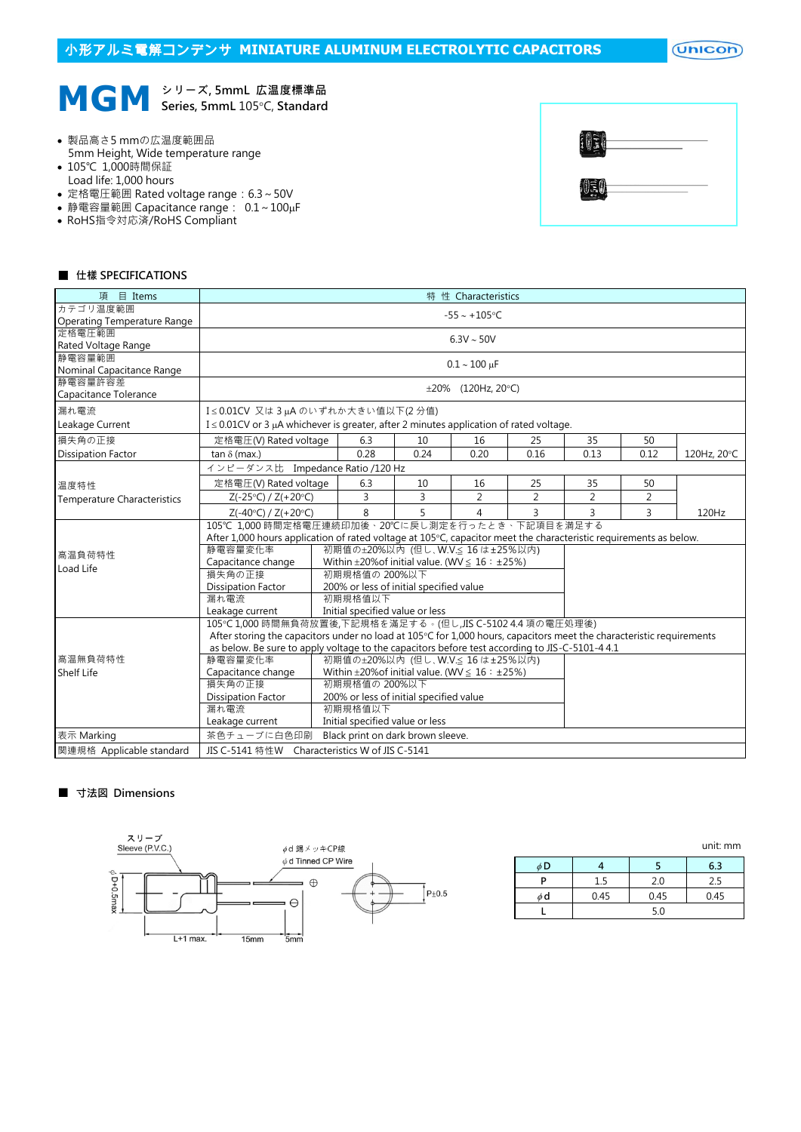# 小形アルミ電解コンデンサ **MINIATURE ALUMINUM ELECTROLYTIC CAPACITORS**

 $($ Unicon $)$ 



- 製品高さ5 mmの広温度範囲品 5mm Height, Wide temperature range
- 105℃ 1,000時間保証
- Load life: 1,000 hours
- 定格電圧範囲 Rated voltage range:6.3~50V
- 静電容量範囲 Capacitance range:  $0.1 \sim 100 \mu$ F
- RoHS指令対応済/RoHS Compliant

| 아보. | ____                     |  |
|-----|--------------------------|--|
|     | $\overline{\phantom{a}}$ |  |

### ■ 仕樣 SPECIFICATIONS

| 項 目 Items                            | 特 性 Characteristics                                                                                                  |                                                    |                                            |      |                |                |                |                |             |  |  |  |
|--------------------------------------|----------------------------------------------------------------------------------------------------------------------|----------------------------------------------------|--------------------------------------------|------|----------------|----------------|----------------|----------------|-------------|--|--|--|
| カテゴリ温度範囲                             | $-55 - +105$ °C                                                                                                      |                                                    |                                            |      |                |                |                |                |             |  |  |  |
| Operating Temperature Range          |                                                                                                                      |                                                    |                                            |      |                |                |                |                |             |  |  |  |
| 定格電圧範囲                               | $6.3V \sim 50V$                                                                                                      |                                                    |                                            |      |                |                |                |                |             |  |  |  |
| Rated Voltage Range                  |                                                                                                                      |                                                    |                                            |      |                |                |                |                |             |  |  |  |
| 静電容量範囲                               |                                                                                                                      | $0.1 - 100 \mu F$                                  |                                            |      |                |                |                |                |             |  |  |  |
| Nominal Capacitance Range<br>静電容量許容差 |                                                                                                                      |                                                    |                                            |      |                |                |                |                |             |  |  |  |
| Capacitance Tolerance                |                                                                                                                      | $\pm 20\%$ (120Hz, 20°C)                           |                                            |      |                |                |                |                |             |  |  |  |
|                                      |                                                                                                                      |                                                    |                                            |      |                |                |                |                |             |  |  |  |
| 漏れ電流                                 |                                                                                                                      | I≤0.01CV 又は3µAのいずれか大きい値以下(2分値)                     |                                            |      |                |                |                |                |             |  |  |  |
| Leakage Current                      | $I \leq 0.01$ CV or 3 µA whichever is greater, after 2 minutes application of rated voltage.                         |                                                    |                                            |      |                |                |                |                |             |  |  |  |
| 損失角の正接                               | 定格電圧(V) Rated voltage                                                                                                |                                                    | 6.3                                        | 10   | 16             | 25             | 35             | 50             |             |  |  |  |
| <b>Dissipation Factor</b>            | tan $\delta$ (max.)                                                                                                  |                                                    | 0.28                                       | 0.24 | 0.20           | 0.16           | 0.13           | 0.12           | 120Hz, 20°C |  |  |  |
|                                      | インピーダンス比 Impedance Ratio /120 Hz                                                                                     |                                                    |                                            |      |                |                |                |                |             |  |  |  |
| 温度特性                                 | 定格電圧(V) Rated voltage                                                                                                |                                                    | 6.3                                        | 10   | 16             | 25             | 35             | 50             |             |  |  |  |
| <b>Temperature Characteristics</b>   | $Z(-25°C) / Z(+20°C)$                                                                                                |                                                    | 3                                          | 3    | $\overline{2}$ | $\overline{2}$ | $\overline{2}$ | $\overline{2}$ |             |  |  |  |
|                                      | $Z(-40^{\circ}C) / Z(+20^{\circ}C)$                                                                                  |                                                    | 8                                          | 5    | 4              | 3              | 3              | 3              | 120Hz       |  |  |  |
|                                      |                                                                                                                      | 105℃ 1.000 時間定格電圧連続印加後、20℃に戻し測定を行ったとき、下記項目を満足する    |                                            |      |                |                |                |                |             |  |  |  |
|                                      | After 1,000 hours application of rated voltage at 105°C, capacitor meet the characteristic requirements as below.    |                                                    |                                            |      |                |                |                |                |             |  |  |  |
| 高温負荷特性                               | 初期值の±20%以内 (但し、W.V.≤ 16 は±25%以内)<br>静電容量変化率                                                                          |                                                    |                                            |      |                |                |                |                |             |  |  |  |
| Load Life                            | Capacitance change<br>Within $\pm 20\%$ of initial value. (WV $\leq 16$ : $\pm 25\%$ )                               |                                                    |                                            |      |                |                |                |                |             |  |  |  |
|                                      | 損失角の正接                                                                                                               |                                                    | 初期規格值の 200%以下                              |      |                |                |                |                |             |  |  |  |
|                                      | <b>Dissipation Factor</b>                                                                                            |                                                    | 200% or less of initial specified value    |      |                |                |                |                |             |  |  |  |
|                                      | 漏れ電流                                                                                                                 | 初期規格值以下                                            |                                            |      |                |                |                |                |             |  |  |  |
|                                      |                                                                                                                      | Leakage current<br>Initial specified value or less |                                            |      |                |                |                |                |             |  |  |  |
|                                      | 105℃1,000 時間無負荷放置後,下記規格を滿足する。(但し,JIS C-5102 4.4 項の電圧処理後)                                                             |                                                    |                                            |      |                |                |                |                |             |  |  |  |
|                                      | After storing the capacitors under no load at 105°C for 1,000 hours, capacitors meet the characteristic requirements |                                                    |                                            |      |                |                |                |                |             |  |  |  |
| 高温無負荷特性                              | as below. Be sure to apply voltage to the capacitors before test according to JIS-C-5101-4 4.1                       |                                                    |                                            |      |                |                |                |                |             |  |  |  |
| Shelf Life                           | 静電容量変化率<br>初期值の±20%以内 (但し、W.V.≤ 16 は±25%以内)<br>Capacitance change                                                    |                                                    |                                            |      |                |                |                |                |             |  |  |  |
|                                      | Within $\pm 20\%$ of initial value. (WV $\leq 16 : \pm 25\%$ )<br>損失角の正接<br>初期規格值の 200%以下                            |                                                    |                                            |      |                |                |                |                |             |  |  |  |
|                                      | <b>Dissipation Factor</b>                                                                                            |                                                    |                                            |      |                |                |                |                |             |  |  |  |
|                                      | 漏れ電流                                                                                                                 |                                                    |                                            |      |                |                |                |                |             |  |  |  |
|                                      | Leakage current                                                                                                      |                                                    | 初期規格值以下<br>Initial specified value or less |      |                |                |                |                |             |  |  |  |
| 表示 Marking                           | 茶色チューブに白色印刷<br>Black print on dark brown sleeve.                                                                     |                                                    |                                            |      |                |                |                |                |             |  |  |  |
| 関連規格 Applicable standard             |                                                                                                                      | JIS C-5141 特性W Characteristics W of JIS C-5141     |                                            |      |                |                |                |                |             |  |  |  |

### ■ 寸法図 Dimensions



|          |      |      | <u>unit.</u> 111111 |  |  |  |  |
|----------|------|------|---------------------|--|--|--|--|
| φD       |      |      | 6.3                 |  |  |  |  |
| D        | 1.5  | 2.0  | 2.5                 |  |  |  |  |
| $\phi$ d | 0.45 | 0.45 | 0.45                |  |  |  |  |
|          | 5.0  |      |                     |  |  |  |  |